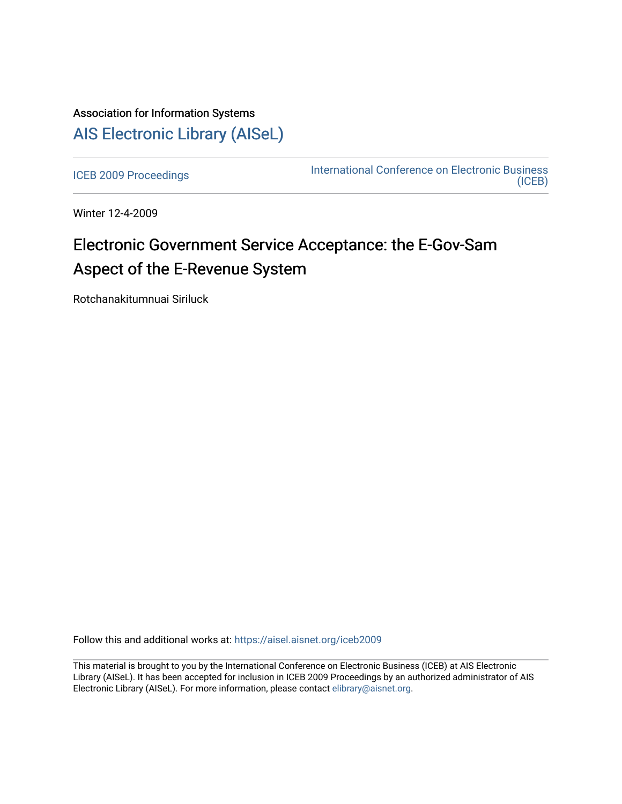## Association for Information Systems [AIS Electronic Library \(AISeL\)](https://aisel.aisnet.org/)

[ICEB 2009 Proceedings](https://aisel.aisnet.org/iceb2009) **International Conference on Electronic Business** [\(ICEB\)](https://aisel.aisnet.org/iceb) 

Winter 12-4-2009

# Electronic Government Service Acceptance: the E-Gov-Sam Aspect of the E-Revenue System

Rotchanakitumnuai Siriluck

Follow this and additional works at: [https://aisel.aisnet.org/iceb2009](https://aisel.aisnet.org/iceb2009?utm_source=aisel.aisnet.org%2Ficeb2009%2F51&utm_medium=PDF&utm_campaign=PDFCoverPages)

This material is brought to you by the International Conference on Electronic Business (ICEB) at AIS Electronic Library (AISeL). It has been accepted for inclusion in ICEB 2009 Proceedings by an authorized administrator of AIS Electronic Library (AISeL). For more information, please contact [elibrary@aisnet.org.](mailto:elibrary@aisnet.org%3E)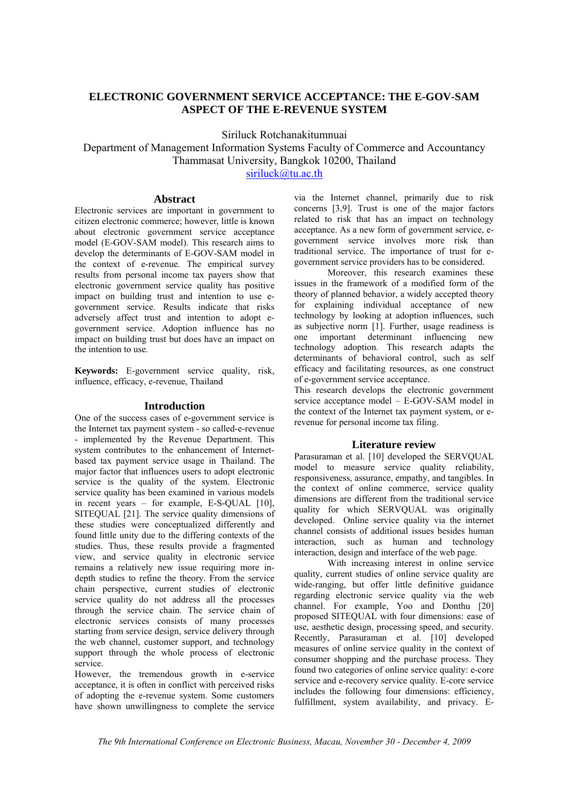### **ELECTRONIC GOVERNMENT SERVICE ACCEPTANCE: THE E-GOV-SAM ASPECT OF THE E-REVENUE SYSTEM**

Siriluck Rotchanakitumnuai

Department of Management Information Systems Faculty of Commerce and Accountancy Thammasat University, Bangkok 10200, Thailand

siriluck@tu.ac.th

#### **Abstract**

Electronic services are important in government to citizen electronic commerce; however, little is known about electronic government service acceptance model (E-GOV-SAM model). This research aims to develop the determinants of E-GOV-SAM model in the context of e-revenue. The empirical survey results from personal income tax payers show that electronic government service quality has positive impact on building trust and intention to use egovernment service. Results indicate that risks adversely affect trust and intention to adopt egovernment service. Adoption influence has no impact on building trust but does have an impact on the intention to use.

**Keywords:** E-government service quality, risk, influence, efficacy, e-revenue, Thailand

#### **Introduction**

One of the success cases of e-government service is the Internet tax payment system - so called-e-revenue - implemented by the Revenue Department. This system contributes to the enhancement of Internetbased tax payment service usage in Thailand. The major factor that influences users to adopt electronic service is the quality of the system. Electronic service quality has been examined in various models in recent years – for example, E-S-QUAL [10], SITEQUAL [21]. The service quality dimensions of these studies were conceptualized differently and found little unity due to the differing contexts of the studies. Thus, these results provide a fragmented view, and service quality in electronic service remains a relatively new issue requiring more indepth studies to refine the theory. From the service chain perspective, current studies of electronic service quality do not address all the processes through the service chain. The service chain of electronic services consists of many processes starting from service design, service delivery through the web channel, customer support, and technology support through the whole process of electronic service.

However, the tremendous growth in e-service acceptance, it is often in conflict with perceived risks of adopting the e-revenue system. Some customers have shown unwillingness to complete the service

via the Internet channel, primarily due to risk concerns [3,9]. Trust is one of the major factors related to risk that has an impact on technology acceptance. As a new form of government service, egovernment service involves more risk than traditional service. The importance of trust for egovernment service providers has to be considered.

Moreover, this research examines these issues in the framework of a modified form of the theory of planned behavior, a widely accepted theory for explaining individual acceptance of new technology by looking at adoption influences, such as subjective norm [1]. Further, usage readiness is one important determinant influencing new technology adoption. This research adapts the determinants of behavioral control, such as self efficacy and facilitating resources, as one construct of e-government service acceptance.

This research develops the electronic government service acceptance model – E-GOV-SAM model in the context of the Internet tax payment system, or erevenue for personal income tax filing.

#### **Literature review**

Parasuraman et al. [10] developed the SERVQUAL model to measure service quality reliability, responsiveness, assurance, empathy, and tangibles. In the context of online commerce, service quality dimensions are different from the traditional service quality for which SERVQUAL was originally developed. Online service quality via the internet channel consists of additional issues besides human interaction, such as human and technology interaction, design and interface of the web page.

With increasing interest in online service quality, current studies of online service quality are wide-ranging, but offer little definitive guidance regarding electronic service quality via the web channel. For example, Yoo and Donthu [20] proposed SITEQUAL with four dimensions: ease of use, aesthetic design, processing speed, and security. Recently, Parasuraman et al. [10] developed measures of online service quality in the context of consumer shopping and the purchase process. They found two categories of online service quality: e-core service and e-recovery service quality. E-core service includes the following four dimensions: efficiency, fulfillment, system availability, and privacy. E-

*The 9th International Conference on Electronic Business, Macau, November 30 - December 4, 2009*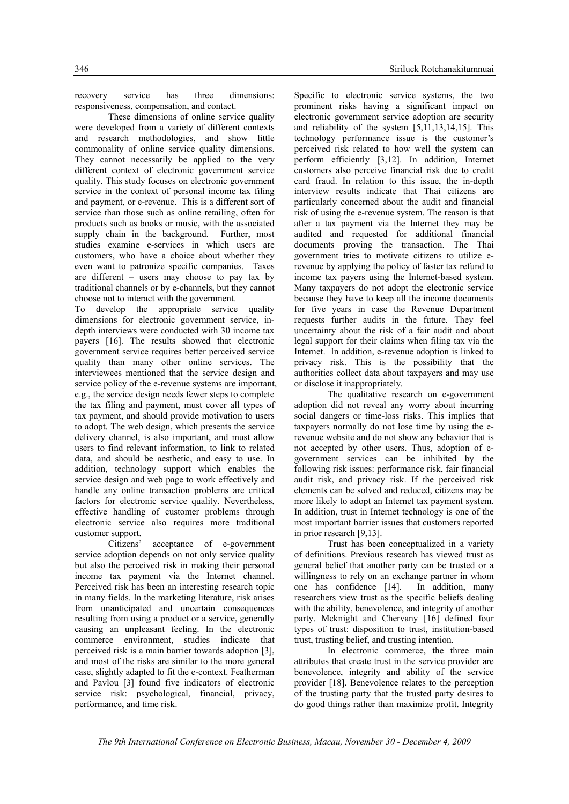recovery service has three dimensions: responsiveness, compensation, and contact.

These dimensions of online service quality were developed from a variety of different contexts and research methodologies, and show little commonality of online service quality dimensions. They cannot necessarily be applied to the very different context of electronic government service quality. This study focuses on electronic government service in the context of personal income tax filing and payment, or e-revenue. This is a different sort of service than those such as online retailing, often for products such as books or music, with the associated supply chain in the background. Further, most studies examine e-services in which users are customers, who have a choice about whether they even want to patronize specific companies. Taxes are different – users may choose to pay tax by traditional channels or by e-channels, but they cannot choose not to interact with the government.

To develop the appropriate service quality dimensions for electronic government service, indepth interviews were conducted with 30 income tax payers [16]. The results showed that electronic government service requires better perceived service quality than many other online services. The interviewees mentioned that the service design and service policy of the e-revenue systems are important, e.g., the service design needs fewer steps to complete the tax filing and payment, must cover all types of tax payment, and should provide motivation to users to adopt. The web design, which presents the service delivery channel, is also important, and must allow users to find relevant information, to link to related data, and should be aesthetic, and easy to use. In addition, technology support which enables the service design and web page to work effectively and handle any online transaction problems are critical factors for electronic service quality. Nevertheless, effective handling of customer problems through electronic service also requires more traditional customer support.

Citizens' acceptance of e-government service adoption depends on not only service quality but also the perceived risk in making their personal income tax payment via the Internet channel. Perceived risk has been an interesting research topic in many fields. In the marketing literature, risk arises from unanticipated and uncertain consequences resulting from using a product or a service, generally causing an unpleasant feeling. In the electronic commerce environment, studies indicate that perceived risk is a main barrier towards adoption [3], and most of the risks are similar to the more general case, slightly adapted to fit the e-context. Featherman and Pavlou [3] found five indicators of electronic service risk: psychological, financial, privacy, performance, and time risk.

Specific to electronic service systems, the two prominent risks having a significant impact on electronic government service adoption are security and reliability of the system [5,11,13,14,15]. This technology performance issue is the customer's perceived risk related to how well the system can perform efficiently [3,12]. In addition, Internet customers also perceive financial risk due to credit card fraud. In relation to this issue, the in-depth interview results indicate that Thai citizens are particularly concerned about the audit and financial risk of using the e-revenue system. The reason is that after a tax payment via the Internet they may be audited and requested for additional financial documents proving the transaction. The Thai government tries to motivate citizens to utilize erevenue by applying the policy of faster tax refund to income tax payers using the Internet-based system. Many taxpayers do not adopt the electronic service because they have to keep all the income documents for five years in case the Revenue Department requests further audits in the future. They feel uncertainty about the risk of a fair audit and about legal support for their claims when filing tax via the Internet. In addition, e-revenue adoption is linked to privacy risk. This is the possibility that the authorities collect data about taxpayers and may use or disclose it inappropriately.

The qualitative research on e-government adoption did not reveal any worry about incurring social dangers or time-loss risks. This implies that taxpayers normally do not lose time by using the erevenue website and do not show any behavior that is not accepted by other users. Thus, adoption of egovernment services can be inhibited by the following risk issues: performance risk, fair financial audit risk, and privacy risk. If the perceived risk elements can be solved and reduced, citizens may be more likely to adopt an Internet tax payment system. In addition, trust in Internet technology is one of the most important barrier issues that customers reported in prior research [9,13].

Trust has been conceptualized in a variety of definitions. Previous research has viewed trust as general belief that another party can be trusted or a willingness to rely on an exchange partner in whom one has confidence [14]. In addition, many researchers view trust as the specific beliefs dealing with the ability, benevolence, and integrity of another party. Mcknight and Chervany [16] defined four types of trust: disposition to trust, institution-based trust, trusting belief, and trusting intention.

In electronic commerce, the three main attributes that create trust in the service provider are benevolence, integrity and ability of the service provider [18]. Benevolence relates to the perception of the trusting party that the trusted party desires to do good things rather than maximize profit. Integrity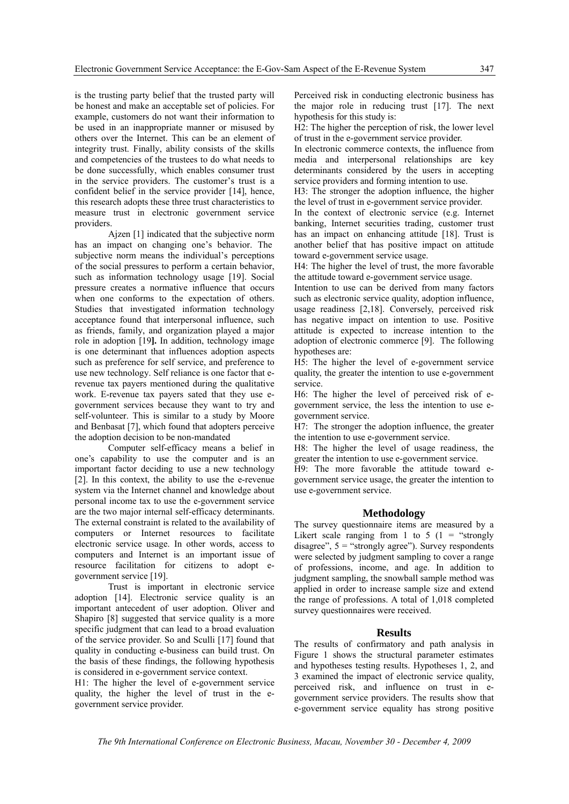is the trusting party belief that the trusted party will be honest and make an acceptable set of policies. For example, customers do not want their information to be used in an inappropriate manner or misused by others over the Internet. This can be an element of integrity trust. Finally, ability consists of the skills and competencies of the trustees to do what needs to be done successfully, which enables consumer trust in the service providers. The customer's trust is a confident belief in the service provider [14], hence, this research adopts these three trust characteristics to measure trust in electronic government service providers.

Ajzen [1] indicated that the subjective norm has an impact on changing one's behavior. The subjective norm means the individual's perceptions of the social pressures to perform a certain behavior, such as information technology usage [19]. Social pressure creates a normative influence that occurs when one conforms to the expectation of others. Studies that investigated information technology acceptance found that interpersonal influence, such as friends, family, and organization played a major role in adoption [19**].** In addition, technology image is one determinant that influences adoption aspects such as preference for self service, and preference to use new technology. Self reliance is one factor that erevenue tax payers mentioned during the qualitative work. E-revenue tax payers sated that they use egovernment services because they want to try and self-volunteer. This is similar to a study by Moore and Benbasat [7], which found that adopters perceive the adoption decision to be non-mandated

Computer self-efficacy means a belief in one's capability to use the computer and is an important factor deciding to use a new technology [2]. In this context, the ability to use the e-revenue system via the Internet channel and knowledge about personal income tax to use the e-government service are the two major internal self-efficacy determinants. The external constraint is related to the availability of computers or Internet resources to facilitate electronic service usage. In other words, access to computers and Internet is an important issue of resource facilitation for citizens to adopt egovernment service [19].

Trust is important in electronic service adoption [14]. Electronic service quality is an important antecedent of user adoption. Oliver and Shapiro [8] suggested that service quality is a more specific judgment that can lead to a broad evaluation of the service provider. So and Sculli [17] found that quality in conducting e-business can build trust. On the basis of these findings, the following hypothesis is considered in e-government service context.

H1: The higher the level of e-government service quality, the higher the level of trust in the egovernment service provider.

Perceived risk in conducting electronic business has the major role in reducing trust [17]. The next hypothesis for this study is:

H2: The higher the perception of risk, the lower level of trust in the e-government service provider.

In electronic commerce contexts, the influence from media and interpersonal relationships are key determinants considered by the users in accepting service providers and forming intention to use.

H3: The stronger the adoption influence, the higher the level of trust in e-government service provider.

In the context of electronic service (e.g. Internet banking, Internet securities trading, customer trust has an impact on enhancing attitude [18]. Trust is another belief that has positive impact on attitude toward e-government service usage.

H4: The higher the level of trust, the more favorable the attitude toward e-government service usage.

Intention to use can be derived from many factors such as electronic service quality, adoption influence, usage readiness [2,18]. Conversely, perceived risk has negative impact on intention to use. Positive attitude is expected to increase intention to the adoption of electronic commerce [9]. The following hypotheses are:

H5: The higher the level of e-government service quality, the greater the intention to use e-government service.

H6: The higher the level of perceived risk of egovernment service, the less the intention to use egovernment service.

H7: The stronger the adoption influence, the greater the intention to use e-government service.

H8: The higher the level of usage readiness, the greater the intention to use e-government service.

H9: The more favorable the attitude toward egovernment service usage, the greater the intention to use e-government service.

#### **Methodology**

The survey questionnaire items are measured by a Likert scale ranging from 1 to 5  $(1 -$  "strongly" disagree",  $5 =$  "strongly agree"). Survey respondents were selected by judgment sampling to cover a range of professions, income, and age. In addition to judgment sampling, the snowball sample method was applied in order to increase sample size and extend the range of professions. A total of 1,018 completed survey questionnaires were received.

#### **Results**

The results of confirmatory and path analysis in Figure 1 shows the structural parameter estimates and hypotheses testing results. Hypotheses 1, 2, and 3 examined the impact of electronic service quality, perceived risk, and influence on trust in egovernment service providers. The results show that e-government service equality has strong positive

*The 9th International Conference on Electronic Business, Macau, November 30 - December 4, 2009*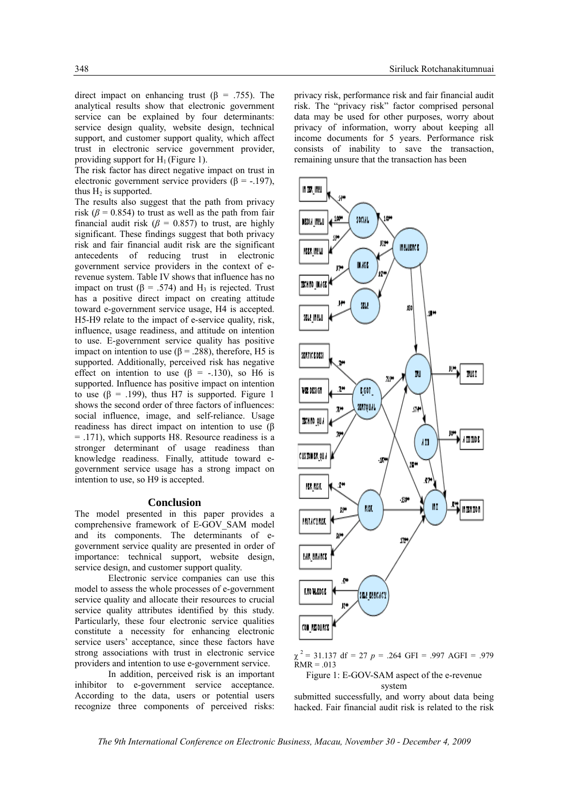direct impact on enhancing trust (β = .755). The analytical results show that electronic government service can be explained by four determinants: service design quality, website design, technical support, and customer support quality, which affect trust in electronic service government provider, providing support for  $H_1$  (Figure 1).

The risk factor has direct negative impact on trust in electronic government service providers ( $\beta$  = -.197), thus  $H_2$  is supported.

The results also suggest that the path from privacy risk ( $\beta$  = 0.854) to trust as well as the path from fair financial audit risk ( $\beta$  = 0.857) to trust, are highly significant. These findings suggest that both privacy risk and fair financial audit risk are the significant antecedents of reducing trust in electronic government service providers in the context of erevenue system. Table IV shows that influence has no impact on trust ( $\beta$  = .574) and H<sub>3</sub> is rejected. Trust has a positive direct impact on creating attitude toward e-government service usage, H4 is accepted. H5-H9 relate to the impact of e-service quality, risk, influence, usage readiness, and attitude on intention to use. E-government service quality has positive impact on intention to use ( $β = .288$ ), therefore, H5 is supported. Additionally, perceived risk has negative effect on intention to use  $(\beta = -130)$ , so H6 is supported. Influence has positive impact on intention to use ( $\beta$  = .199), thus H7 is supported. Figure 1 shows the second order of three factors of influences: social influence, image, and self-reliance. Usage readiness has direct impact on intention to use (β = .171), which supports H8. Resource readiness is a stronger determinant of usage readiness than knowledge readiness. Finally, attitude toward egovernment service usage has a strong impact on intention to use, so H9 is accepted.

#### **Conclusion**

The model presented in this paper provides a comprehensive framework of E-GOV\_SAM model and its components. The determinants of egovernment service quality are presented in order of importance: technical support, website design, service design, and customer support quality.

Electronic service companies can use this model to assess the whole processes of e-government service quality and allocate their resources to crucial service quality attributes identified by this study. Particularly, these four electronic service qualities constitute a necessity for enhancing electronic service users' acceptance, since these factors have strong associations with trust in electronic service providers and intention to use e-government service.

In addition, perceived risk is an important inhibitor to e-government service acceptance. According to the data, users or potential users recognize three components of perceived risks:

privacy risk, performance risk and fair financial audit risk. The "privacy risk" factor comprised personal data may be used for other purposes, worry about privacy of information, worry about keeping all income documents for 5 years. Performance risk consists of inability to save the transaction, remaining unsure that the transaction has been



 $\chi^2$  = 31.137 df = 27 *p* = .264 GFI = .997 AGFI = .979  $RMR = .013$ 

Figure 1: E-GOV-SAM aspect of the e-revenue system

submitted successfully, and worry about data being hacked. Fair financial audit risk is related to the risk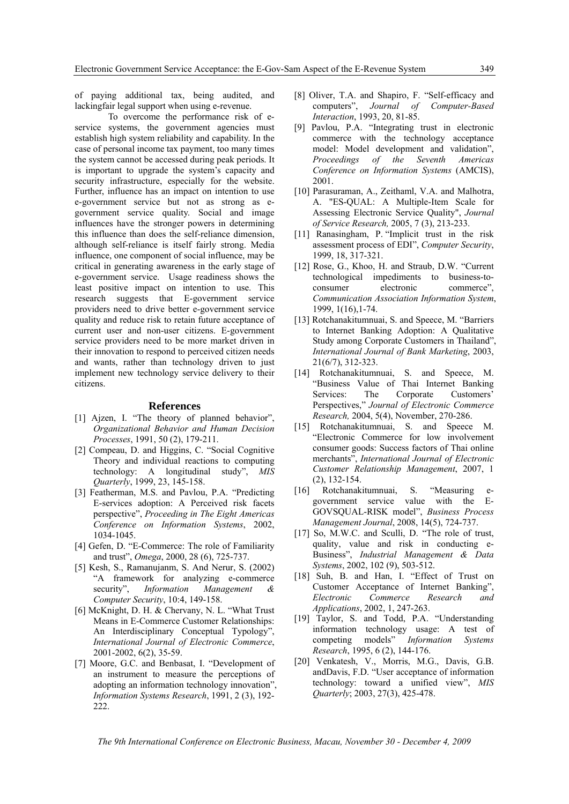of paying additional tax, being audited, and lackingfair legal support when using e-revenue.

To overcome the performance risk of eservice systems, the government agencies must establish high system reliability and capability. In the case of personal income tax payment, too many times the system cannot be accessed during peak periods. It is important to upgrade the system's capacity and security infrastructure, especially for the website. Further, influence has an impact on intention to use e-government service but not as strong as egovernment service quality. Social and image influences have the stronger powers in determining this influence than does the self-reliance dimension, although self-reliance is itself fairly strong. Media influence, one component of social influence, may be critical in generating awareness in the early stage of e-government service. Usage readiness shows the least positive impact on intention to use. This research suggests that E-government service providers need to drive better e-government service quality and reduce risk to retain future acceptance of current user and non-user citizens. E-government service providers need to be more market driven in their innovation to respond to perceived citizen needs and wants, rather than technology driven to just implement new technology service delivery to their citizens.

#### **References**

- [1] Ajzen, I. "The theory of planned behavior", *Organizational Behavior and Human Decision Processes*, 1991, 50 (2), 179-211.
- [2] Compeau, D. and Higgins, C. "Social Cognitive Theory and individual reactions to computing technology: A longitudinal study", *MIS Quarterly*, 1999, 23, 145-158.
- [3] Featherman, M.S. and Pavlou, P.A. "Predicting E-services adoption: A Perceived risk facets perspective", *Proceeding in The Eight Americas Conference on Information Systems*, 2002, 1034-1045.
- [4] Gefen, D. "E-Commerce: The role of Familiarity and trust", *Omega*, 2000, 28 (6), 725-737.
- [5] Kesh, S., Ramanujanm, S. And Nerur, S. (2002) "A framework for analyzing e-commerce security", *Information Management Computer Security*, 10:4, 149-158.
- [6] McKnight, D. H. & Chervany, N. L. "What Trust Means in E-Commerce Customer Relationships: An Interdisciplinary Conceptual Typology", *International Journal of Electronic Commerce*, 2001-2002, 6(2), 35-59.
- [7] Moore, G.C. and Benbasat, I. "Development of an instrument to measure the perceptions of adopting an information technology innovation", *Information Systems Research*, 1991, 2 (3), 192- 222.
- [8] Oliver, T.A. and Shapiro, F. "Self-efficacy and computers", *Journal of Computer-Based Interaction*, 1993, 20, 81-85.
- [9] Pavlou, P.A. "Integrating trust in electronic commerce with the technology acceptance model: Model development and validation", *Proceedings of the Seventh Americas Conference on Information Systems* (AMCIS), 2001.
- [10] Parasuraman, A., Zeithaml, V.A. and Malhotra, A. "ES-QUAL: A Multiple-Item Scale for Assessing Electronic Service Quality", *Journal of Service Research,* 2005, 7 (3), 213-233.
- [11] Ranasingham, P. "Implicit trust in the risk assessment process of EDI", *Computer Security*, 1999, 18, 317-321.
- [12] Rose, G., Khoo, H. and Straub, D.W. "Current technological impediments to business-toconsumer electronic commerce". *Communication Association Information System*, 1999, 1(16),1-74.
- [13] Rotchanakitumnuai, S. and Speece, M. "Barriers to Internet Banking Adoption: A Qualitative Study among Corporate Customers in Thailand", *International Journal of Bank Marketing*, 2003, 21(6/7), 312-323.
- [14] Rotchanakitumnuai, S. and Speece, M. "Business Value of Thai Internet Banking Services: The Corporate Customers' Perspectives," *Journal of Electronic Commerce Research,* 2004, 5(4), November, 270-286.
- [15] Rotchanakitumnuai, S. and Speece M. "Electronic Commerce for low involvement consumer goods: Success factors of Thai online merchants", *International Journal of Electronic Customer Relationship Management*, 2007, 1 (2), 132-154.
- [16] Rotchanakitumnuai, S. "Measuring egovernment service value with the E-GOVSQUAL-RISK model", *Business Process Management Journal*, 2008, 14(5), 724-737.
- [17] So, M.W.C. and Sculli, D. "The role of trust, quality, value and risk in conducting e-Business", *Industrial Management & Data Systems*, 2002, 102 (9), 503-512.
- [18] Suh, B. and Han, I. "Effect of Trust on Customer Acceptance of Internet Banking", *Electronic Commerce Research and Applications*, 2002, 1, 247-263.
- [19] Taylor, S. and Todd, P.A. "Understanding information technology usage: A test of competing models" *Information Systems Research*, 1995, 6 (2), 144-176.
- [20] Venkatesh, V., Morris, M.G., Davis, G.B. andDavis, F.D. "User acceptance of information technology: toward a unified view", *MIS Quarterly*; 2003, 27(3), 425-478.

*The 9th International Conference on Electronic Business, Macau, November 30 - December 4, 2009*